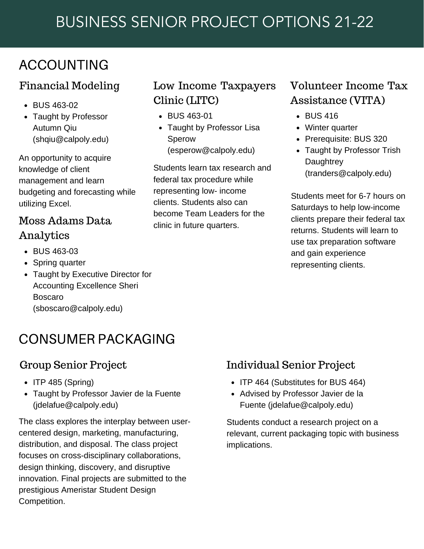# BUSINESS SENIOR PROJECT OPTIONS 21-22

## ACCOUNTING

#### Financial Modeling

- BUS 463-02
- Taught by Professor Autumn Qiu (shqi[u@calpoly.edu](mailto:jlodell@calpoly.edu))

An opportunity to acquire knowledge of client management and learn budgeting and forecasting while utilizing Excel.

## Moss Adams Data Analytics

- BUS 463-03
- Spring quarter
- Taught by Executive Director for Accounting Excellence Sheri Boscaro (sboscaro@calpoly.edu)

# CONSUMER PACKAGING

- $\bullet$  ITP 485 (Spring)
- Taught by Professor Javier de la Fuente (jdelafue@calpoly.edu)

The class explores the interplay between user centered design, marketing, manufacturing, distribution, and disposal. The class project focuses on cross-disciplinary collaborations, design thinking, discovery, and disruptive innovation. Final projects are submitted to the prestigious Ameristar Student Design Competition.

## Low Income Taxpayers Clinic (LITC)

- BUS 463-01
- Taught by Professor Lisa Sperow [\(esperow@calpoly.edu](mailto:esperow@calpoly.edu))

Students learn tax research and federal tax procedure while representing low- income clients. Students also can become Team Leaders for the clinic in future quarters.

## Volunteer Income Tax Assistance (VITA)

- BUS 416
- Winter quarter
- Prerequisite: BUS 320
- Taught by Professor Trish **Daughtrey** (tranders@calpoly.edu)

Students meet for 6-7 hours on Saturdays to help low-income clients prepare their federal tax returns. Students will learn to use tax preparation software and gain experience representing clients.

## Group Senior Project Individual Senior Project

- ITP 464 (Substitutes for BUS 464)
- Advised by Professor Javier de la Fuente (jdelafue@calpoly.edu)

Students conduct a research project on a relevant, current packaging topic with business implications.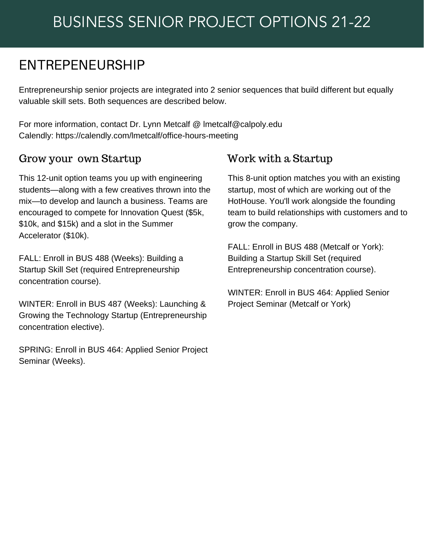## ENTREPENEURSHIP

Entrepreneurship senior projects are integrated into 2 senior sequences that build different but equally valuable skill sets. Both sequences are described below.

For more information, contact Dr. Lynn Metcalf @ [lmetcalf@calpoly.edu](mailto:lmetcalf@calpoly.edu) Calendly: <https://calendly.com/lmetcalf/office-hours-meeting>

#### Grow your own Startup Work with a Startup

This 12-unit option teams you up with engineering students—along with a few creatives thrown into the mix—to develop and launch a business. Teams are encouraged to compete for Innovation Quest (\$5k, \$10k, and \$15k) and a slot in the Summer Accelerator (\$10k).

FALL: Enroll in BUS 488 (Weeks): Building a Startup Skill Set (required Entrepreneurship concentration course).

WINTER: Enroll in BUS 487 (Weeks): Launching & Growing the Technology Startup (Entrepreneurship concentration elective).

SPRING: Enroll in BUS 464: Applied Senior Project Seminar (Weeks).

This 8-unit option matches you with an existing startup, most of which are working out of the HotHouse. You'll work alongside the founding team to build relationships with customers and to grow the company.

FALL: Enroll in BUS 488 (Metcalf or York): Building a Startup Skill Set (required Entrepreneurship concentration course).

WINTER: Enroll in BUS 464: Applied Senior Project Seminar (Metcalf or York)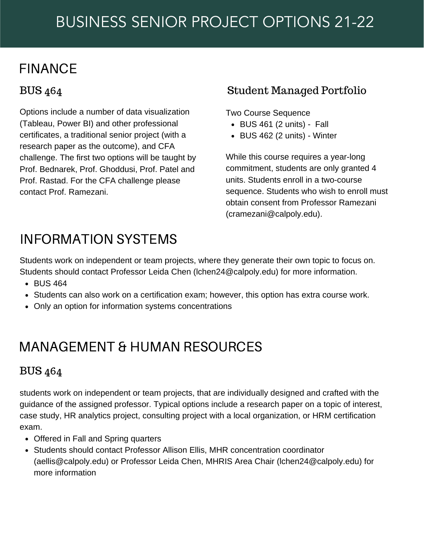## FINANCE

## BUS 464

Options include a number of data visualization (Tableau, Power BI) and other professional certificates, a traditional senior project (with a research paper as the outcome), and CFA challenge. The first two options will be taught by Prof. Bednarek, Prof. Ghoddusi, Prof. Patel and Prof. Rastad. For the CFA challenge please contact Prof. Ramezani.

#### Student Managed Portfolio

Two Course Sequence

- BUS 461 (2 units) Fall
- $\bullet$  BUS 462 (2 units) Winter

While [this course requires a y](mailto:cramezani@calpoly.edu)ear-long commitment, students are only granted 4 units. Students enroll in a two-course sequence. Students who wish to enroll must obtain consent from Professor Ramezani (cramezani@calpoly.edu).

## INFORMATION SYSTEMS

Students work on independent or team projects, where they generate their own topic to focus on. Students should contact Professor Leida Chen [\(lchen24@calpoly.edu](mailto:lchen24@calpoly.edu)) for more information.

- BUS 464
- Students can also work on a certification exam; however, this option has extra course work.
- Only an option for information systems concentrations

## MANAGEMENT & HUMAN RESOURCES

#### BUS 464

students work on independent or team projects, that are individually designed and crafted with the guidance of the assigned professor. Typical options include a research paper on a topic of interest, case study, HR analytics project, consulting project with a local organization, or HRM certification exam.

- Offered in Fall and Spring quarters
- Students should contact Professor Allison Ellis, MHR concentration coordinator (aellis@calpoly.edu) or Professor Leida Chen, MHRIS Area Chair (lchen24@calpoly.edu) for more information